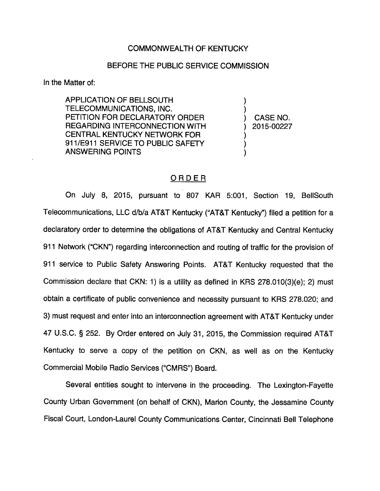## COMMONWEALTH OF KENTUCKY

## BEFORE THE PUBLIC SERVICE COMMISSION

In the Matter of:

APPLICATION OF BELLSOUTH TELECOMMUNICATIONS, INC. PETITION FOR DECLARATORY ORDER REGARDING INTERCONNECTION WITH CENTRAL KENTUCKY NETWORK FOR 911/E911 SERVICE TO PUBLIC SAFETY ANSWERING POINTS

CASE NO. 2015-00227

## ORDER

On July 8, 2015, pursuant to 807 KAR 5:001, Section 19, BellSouth Telecommunications, LLC d/b/a AT&T Kentucky ("AT&T Kentucky") filed a petition for a declaratory order to determine the obligations of AT&T Kentucky and Central Kentucky 911 Network ("CKN") regarding interconnection and routing of traffic for the provision of 911 service to Public Safety Answering Points. AT&T Kentucky requested that the Commission declare that CKN: 1) is a utility as defined in KRS 278.010(3)(e); 2) must obtain a certificate of public convenience and necessity pursuant to KRS 278.020; and 3) must request and enter into an interconnection agreement with AT&T Kentucky under 47 U.S.C. § 252. By Order entered on July 31, 2015, the Commission required AT&T Kentucky to serve a copy of the petition on CKN, as well as on the Kentucky Commercial Mobile Radio Services ("CMRS") Board.

Several entities sought to intervene in the proceeding. The Lexington-Fayette County Urban Govemment (on behalf of CKN), Marion County, the Jessamine County Fiscal Court, London-Laurel County Communications Center, Cincinnati Bell Telephone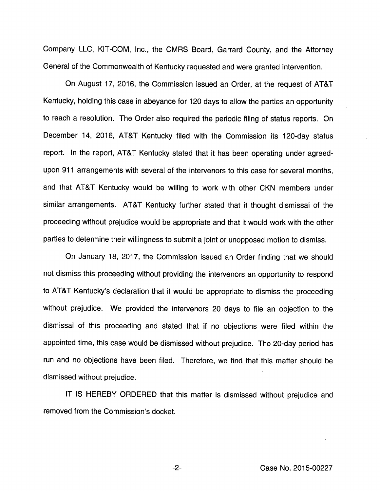Company LLC, KIT-COM, Inc., the CMRS Board, Garrard County, and the Attorney General of the Commonwealth of Kentucky requested and were granted intervention.

On August 17, 2016, the Commission issued an Order, at the request of AT&T Kentucky, holding this case in abeyance for 120 days to allowthe parties an opportunity to reach a resolution. The Order also required the periodic filing of status reports. On December 14, 2016, AT&T Kentucky filed with the Commission its 120-day status report. In the report, AT&T Kentucky stated that it has been operating under agreedupon 911 arrangements with several of the intervenors to this case for several months, and that AT&T Kentucky would be willing to work with other CKN members under similar arrangements. AT&T Kentucky further stated that it thought dismissal of the proceeding without prejudice would be appropriate and that it would work with the other parties to determine their willingness to submit a joint or unopposed motion to dismiss.

On January 18, 2017, the Commission issued an Order finding that we should not dismiss this proceeding without providing the intervenors an opportunity to respond to AT&T Kentucky's declaration that it would be appropriate to dismiss the proceeding without prejudice. We provided the intervenors 20 days to file an objection to the dismissal of this proceeding and stated that if no objections were filed within the appointed time, this case would be dismissed without prejudice. The 20-day period has run and no objections have been filed. Therefore, we find that this matter should be dismissed without prejudice.

IT IS HEREBY ORDERED that this matter is dismissed without prejudice and removed from the Commission's docket.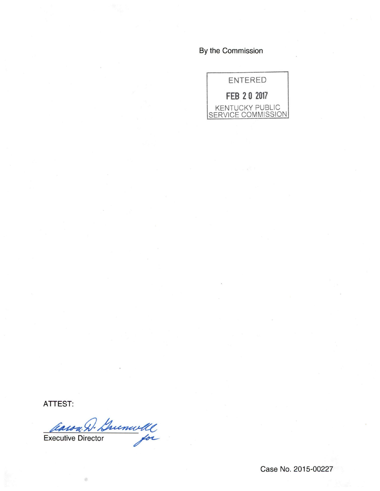By the Commission



ATTEST:

Casoa D. Guenwell

Case No. 2015-00227